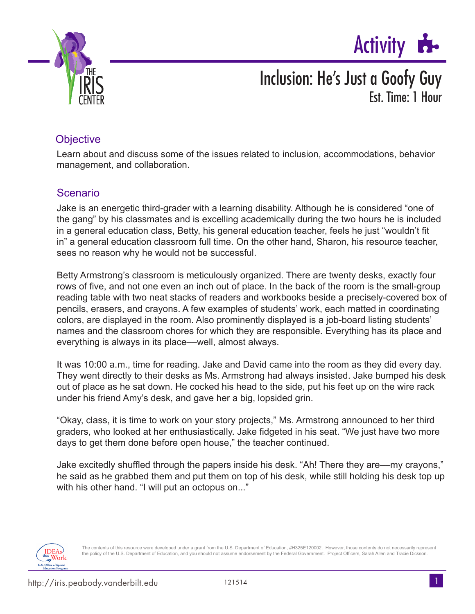



#### **Objective**

Learn about and discuss some of the issues related to inclusion, accommodations, behavior management, and collaboration.

#### Scenario

Jake is an energetic third-grader with a learning disability. Although he is considered "one of the gang" by his classmates and is excelling academically during the two hours he is included in a general education class, Betty, his general education teacher, feels he just "wouldn't fit in" a general education classroom full time. On the other hand, Sharon, his resource teacher, sees no reason why he would not be successful.

Betty Armstrong's classroom is meticulously organized. There are twenty desks, exactly four rows of five, and not one even an inch out of place. In the back of the room is the small-group reading table with two neat stacks of readers and workbooks beside a precisely-covered box of pencils, erasers, and crayons. A few examples of students' work, each matted in coordinating colors, are displayed in the room. Also prominently displayed is a job-board listing students' names and the classroom chores for which they are responsible. Everything has its place and everything is always in its place––well, almost always.

It was 10:00 a.m., time for reading. Jake and David came into the room as they did every day. They went directly to their desks as Ms. Armstrong had always insisted. Jake bumped his desk out of place as he sat down. He cocked his head to the side, put his feet up on the wire rack under his friend Amy's desk, and gave her a big, lopsided grin.

"Okay, class, it is time to work on your story projects," Ms. Armstrong announced to her third graders, who looked at her enthusiastically. Jake fidgeted in his seat. "We just have two more days to get them done before open house," the teacher continued.

Jake excitedly shuffled through the papers inside his desk. "Ah! There they are––my crayons," he said as he grabbed them and put them on top of his desk, while still holding his desk top up with his other hand. "I will put an octopus on..."



The contents of this resource were developed under a grant from the U.S. Department of Education, #H325E120002. However, those contents do not necessarily represent the policy of the U.S. Department of Education, and you should not assume endorsement by the Federal Government. Project Officers, Sarah Allen and Tracie Dickson.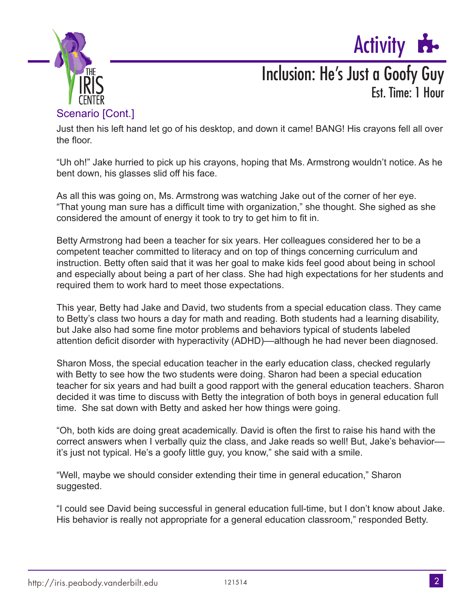



#### Scenario [Cont.]

Just then his left hand let go of his desktop, and down it came! BANG! His crayons fell all over the floor.

"Uh oh!" Jake hurried to pick up his crayons, hoping that Ms. Armstrong wouldn't notice. As he bent down, his glasses slid off his face.

As all this was going on, Ms. Armstrong was watching Jake out of the corner of her eye. "That young man sure has a difficult time with organization," she thought. She sighed as she considered the amount of energy it took to try to get him to fit in.

Betty Armstrong had been a teacher for six years. Her colleagues considered her to be a competent teacher committed to literacy and on top of things concerning curriculum and instruction. Betty often said that it was her goal to make kids feel good about being in school and especially about being a part of her class. She had high expectations for her students and required them to work hard to meet those expectations.

This year, Betty had Jake and David, two students from a special education class. They came to Betty's class two hours a day for math and reading. Both students had a learning disability, but Jake also had some fine motor problems and behaviors typical of students labeled attention deficit disorder with hyperactivity (ADHD)––although he had never been diagnosed.

Sharon Moss, the special education teacher in the early education class, checked regularly with Betty to see how the two students were doing. Sharon had been a special education teacher for six years and had built a good rapport with the general education teachers. Sharon decided it was time to discuss with Betty the integration of both boys in general education full time. She sat down with Betty and asked her how things were going.

"Oh, both kids are doing great academically. David is often the first to raise his hand with the correct answers when I verbally quiz the class, and Jake reads so well! But, Jake's behavior–– it's just not typical. He's a goofy little guy, you know," she said with a smile.

"Well, maybe we should consider extending their time in general education," Sharon suggested.

"I could see David being successful in general education full-time, but I don't know about Jake. His behavior is really not appropriate for a general education classroom," responded Betty.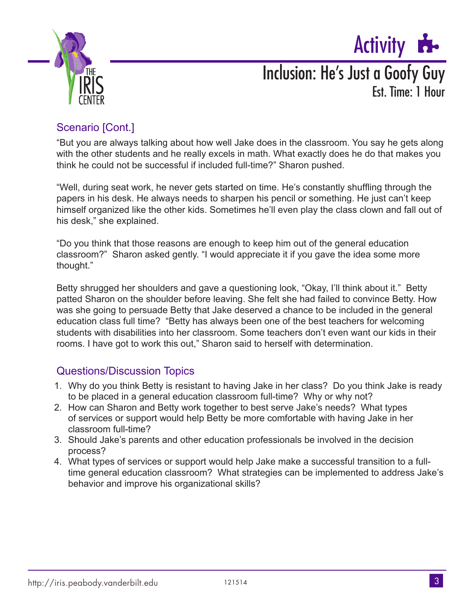



### Scenario [Cont.]

"But you are always talking about how well Jake does in the classroom. You say he gets along with the other students and he really excels in math. What exactly does he do that makes you think he could not be successful if included full-time?" Sharon pushed.

"Well, during seat work, he never gets started on time. He's constantly shuffling through the papers in his desk. He always needs to sharpen his pencil or something. He just can't keep himself organized like the other kids. Sometimes he'll even play the class clown and fall out of his desk," she explained.

"Do you think that those reasons are enough to keep him out of the general education classroom?" Sharon asked gently. "I would appreciate it if you gave the idea some more thought."

Betty shrugged her shoulders and gave a questioning look, "Okay, I'll think about it." Betty patted Sharon on the shoulder before leaving. She felt she had failed to convince Betty. How was she going to persuade Betty that Jake deserved a chance to be included in the general education class full time? "Betty has always been one of the best teachers for welcoming students with disabilities into her classroom. Some teachers don't even want our kids in their rooms. I have got to work this out," Sharon said to herself with determination.

#### Questions/Discussion Topics

- 1. Why do you think Betty is resistant to having Jake in her class? Do you think Jake is ready to be placed in a general education classroom full-time? Why or why not?
- 2. How can Sharon and Betty work together to best serve Jake's needs? What types of services or support would help Betty be more comfortable with having Jake in her classroom full-time?
- 3. Should Jake's parents and other education professionals be involved in the decision process?
- 4. What types of services or support would help Jake make a successful transition to a fulltime general education classroom? What strategies can be implemented to address Jake's behavior and improve his organizational skills?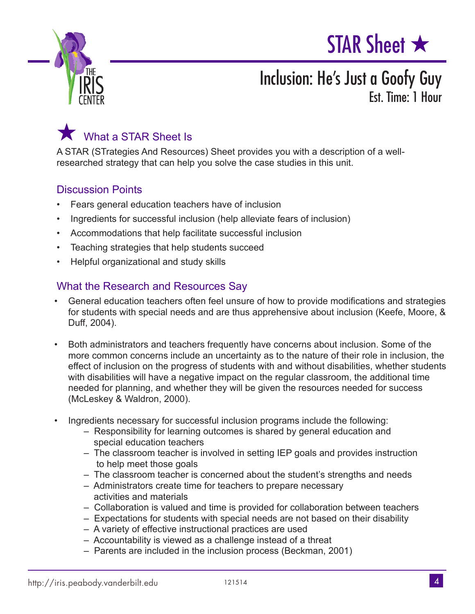





A STAR (STrategies And Resources) Sheet provides you with a description of a wellresearched strategy that can help you solve the case studies in this unit.

#### Discussion Points

- Fears general education teachers have of inclusion
- Ingredients for successful inclusion (help alleviate fears of inclusion)
- Accommodations that help facilitate successful inclusion
- Teaching strategies that help students succeed
- Helpful organizational and study skills

#### What the Research and Resources Say

- General education teachers often feel unsure of how to provide modifications and strategies for students with special needs and are thus apprehensive about inclusion (Keefe, Moore, & Duff, 2004).
- Both administrators and teachers frequently have concerns about inclusion. Some of the more common concerns include an uncertainty as to the nature of their role in inclusion, the effect of inclusion on the progress of students with and without disabilities, whether students with disabilities will have a negative impact on the regular classroom, the additional time needed for planning, and whether they will be given the resources needed for success (McLeskey & Waldron, 2000).
- Ingredients necessary for successful inclusion programs include the following:
	- Responsibility for learning outcomes is shared by general education and special education teachers
	- The classroom teacher is involved in setting IEP goals and provides instruction to help meet those goals
	- The classroom teacher is concerned about the student's strengths and needs
	- Administrators create time for teachers to prepare necessary activities and materials
	- Collaboration is valued and time is provided for collaboration between teachers
	- Expectations for students with special needs are not based on their disability
	- A variety of effective instructional practices are used
	- Accountability is viewed as a challenge instead of a threat
	- Parents are included in the inclusion process (Beckman, 2001)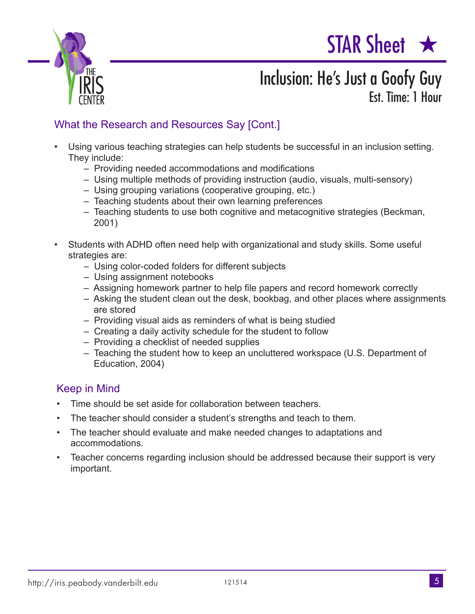



### What the Research and Resources Say [Cont.]

- Using various teaching strategies can help students be successful in an inclusion setting. They include:
	- Providing needed accommodations and modifications
	- Using multiple methods of providing instruction (audio, visuals, multi-sensory)
	- Using grouping variations (cooperative grouping, etc.)
	- Teaching students about their own learning preferences
	- Teaching students to use both cognitive and metacognitive strategies (Beckman, 2001)
- Students with ADHD often need help with organizational and study skills. Some useful strategies are:
	- Using color-coded folders for different subjects
	- Using assignment notebooks
	- Assigning homework partner to help file papers and record homework correctly
	- Asking the student clean out the desk, bookbag, and other places where assignments are stored
	- Providing visual aids as reminders of what is being studied
	- Creating a daily activity schedule for the student to follow
	- Providing a checklist of needed supplies
	- Teaching the student how to keep an uncluttered workspace (U.S. Department of Education, 2004)

#### Keep in Mind

- Time should be set aside for collaboration between teachers.
- The teacher should consider a student's strengths and teach to them.
- The teacher should evaluate and make needed changes to adaptations and accommodations.
- Teacher concerns regarding inclusion should be addressed because their support is very important.